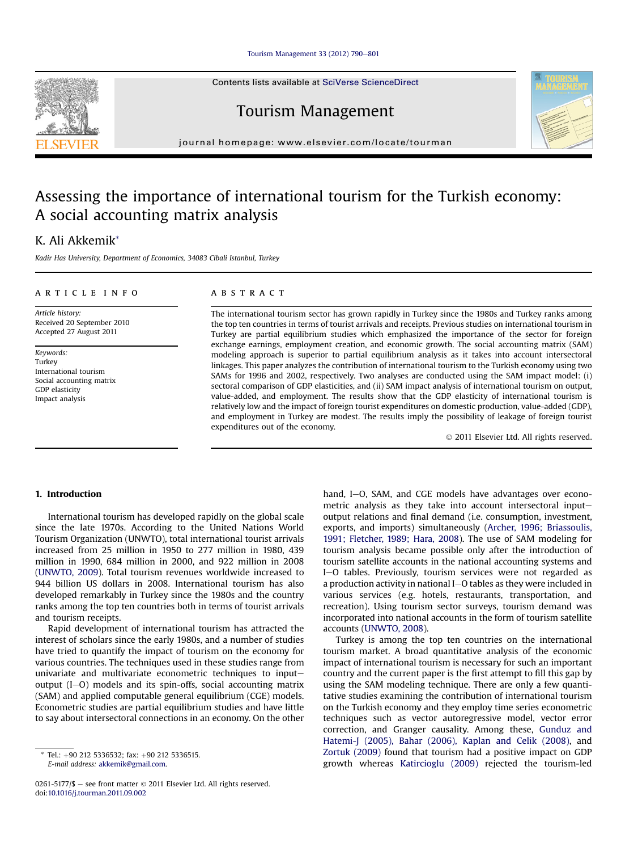#### [Tourism Management 33 \(2012\) 790](http://dx.doi.org/10.1016/j.tourman.2011.09.002)-[801](http://dx.doi.org/10.1016/j.tourman.2011.09.002)

Contents lists available at SciVerse ScienceDirect

Tourism Management

journal homepage: [www.elsevier.com/locate/tourman](http://www.elsevier.com/locate/tourman)

## Assessing the importance of international tourism for the Turkish economy: A social accounting matrix analysis

### K. Ali Akkemik\*

Kadir Has University, Department of Economics, 34083 Cibali Istanbul, Turkey

#### article info

Article history: Received 20 September 2010 Accepted 27 August 2011

Keywords: Turkey International tourism Social accounting matrix GDP elasticity Impact analysis

#### **ABSTRACT**

The international tourism sector has grown rapidly in Turkey since the 1980s and Turkey ranks among the top ten countries in terms of tourist arrivals and receipts. Previous studies on international tourism in Turkey are partial equilibrium studies which emphasized the importance of the sector for foreign exchange earnings, employment creation, and economic growth. The social accounting matrix (SAM) modeling approach is superior to partial equilibrium analysis as it takes into account intersectoral linkages. This paper analyzes the contribution of international tourism to the Turkish economy using two SAMs for 1996 and 2002, respectively. Two analyses are conducted using the SAM impact model: (i) sectoral comparison of GDP elasticities, and (ii) SAM impact analysis of international tourism on output, value-added, and employment. The results show that the GDP elasticity of international tourism is relatively low and the impact of foreign tourist expenditures on domestic production, value-added (GDP), and employment in Turkey are modest. The results imply the possibility of leakage of foreign tourist expenditures out of the economy.

2011 Elsevier Ltd. All rights reserved.

#### 1. Introduction

International tourism has developed rapidly on the global scale since the late 1970s. According to the United Nations World Tourism Organization (UNWTO), total international tourist arrivals increased from 25 million in 1950 to 277 million in 1980, 439 million in 1990, 684 million in 2000, and 922 million in 2008 ([UNWTO, 2009\)](#page--1-0). Total tourism revenues worldwide increased to 944 billion US dollars in 2008. International tourism has also developed remarkably in Turkey since the 1980s and the country ranks among the top ten countries both in terms of tourist arrivals and tourism receipts.

Rapid development of international tourism has attracted the interest of scholars since the early 1980s, and a number of studies have tried to quantify the impact of tourism on the economy for various countries. The techniques used in these studies range from univariate and multivariate econometric techniques to inputoutput  $(I-O)$  models and its spin-offs, social accounting matrix (SAM) and applied computable general equilibrium (CGE) models. Econometric studies are partial equilibrium studies and have little to say about intersectoral connections in an economy. On the other

0261-5177/\$ - see front matter  $@$  2011 Elsevier Ltd. All rights reserved. doi:[10.1016/j.tourman.2011.09.002](http://dx.doi.org/10.1016/j.tourman.2011.09.002)

hand, I-O, SAM, and CGE models have advantages over econometric analysis as they take into account intersectoral inputoutput relations and final demand (i.e. consumption, investment, exports, and imports) simultaneously [\(Archer, 1996; Briassoulis,](#page--1-0) [1991; Fletcher, 1989; Hara, 2008\)](#page--1-0). The use of SAM modeling for tourism analysis became possible only after the introduction of tourism satellite accounts in the national accounting systems and I-O tables. Previously, tourism services were not regarded as a production activity in national I-O tables as they were included in various services (e.g. hotels, restaurants, transportation, and recreation). Using tourism sector surveys, tourism demand was incorporated into national accounts in the form of tourism satellite accounts [\(UNWTO, 2008](#page--1-0)).

Turkey is among the top ten countries on the international tourism market. A broad quantitative analysis of the economic impact of international tourism is necessary for such an important country and the current paper is the first attempt to fill this gap by using the SAM modeling technique. There are only a few quantitative studies examining the contribution of international tourism on the Turkish economy and they employ time series econometric techniques such as vector autoregressive model, vector error correction, and Granger causality. Among these, [Gunduz and](#page--1-0) [Hatemi-J \(2005\), Bahar \(2006\), Kaplan and Celik \(2008\),](#page--1-0) and [Zortuk \(2009\)](#page--1-0) found that tourism had a positive impact on GDP growth whereas [Katircioglu \(2009\)](#page--1-0) rejected the tourism-led





Tel.: +90 212 5336532; fax: +90 212 5336515. E-mail address: [akkemik@gmail.com.](mailto:akkemik@gmail.com)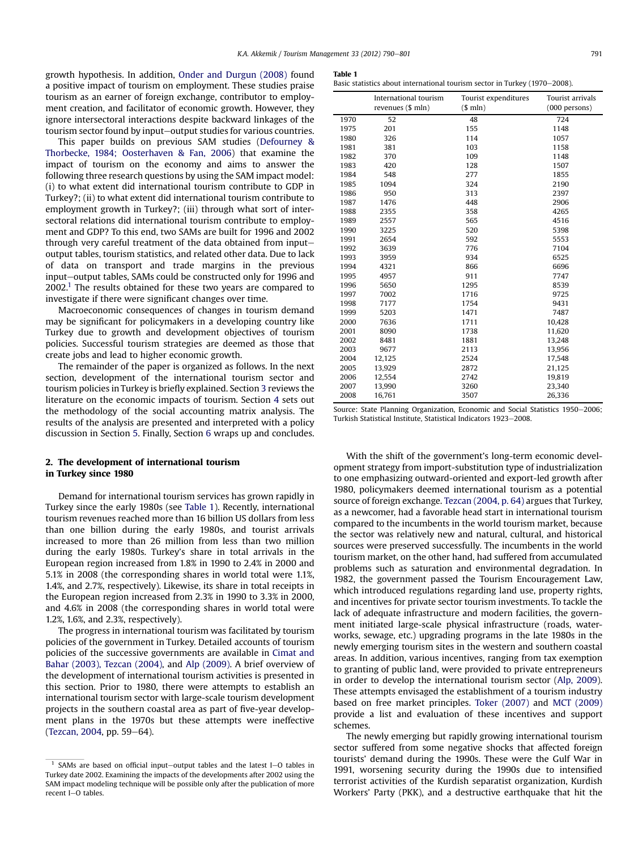growth hypothesis. In addition, [Onder and Durgun \(2008\)](#page--1-0) found a positive impact of tourism on employment. These studies praise tourism as an earner of foreign exchange, contributor to employment creation, and facilitator of economic growth. However, they ignore intersectoral interactions despite backward linkages of the tourism sector found by input-output studies for various countries.

This paper builds on previous SAM studies ([Defourney &](#page--1-0) [Thorbecke, 1984; Oosterhaven & Fan, 2006](#page--1-0)) that examine the impact of tourism on the economy and aims to answer the following three research questions by using the SAM impact model: (i) to what extent did international tourism contribute to GDP in Turkey?; (ii) to what extent did international tourism contribute to employment growth in Turkey?; (iii) through what sort of intersectoral relations did international tourism contribute to employment and GDP? To this end, two SAMs are built for 1996 and 2002 through very careful treatment of the data obtained from inputoutput tables, tourism statistics, and related other data. Due to lack of data on transport and trade margins in the previous input-output tables, SAMs could be constructed only for 1996 and  $2002<sup>1</sup>$  The results obtained for these two years are compared to investigate if there were significant changes over time.

Macroeconomic consequences of changes in tourism demand may be significant for policymakers in a developing country like Turkey due to growth and development objectives of tourism policies. Successful tourism strategies are deemed as those that create jobs and lead to higher economic growth.

The remainder of the paper is organized as follows. In the next section, development of the international tourism sector and tourism policies in Turkey is briefly explained. Section [3](#page--1-0) reviews the literature on the economic impacts of tourism. Section [4](#page--1-0) sets out the methodology of the social accounting matrix analysis. The results of the analysis are presented and interpreted with a policy discussion in Section [5.](#page--1-0) Finally, Section [6](#page--1-0) wraps up and concludes.

#### 2. The development of international tourism in Turkey since 1980

Demand for international tourism services has grown rapidly in Turkey since the early 1980s (see Table 1). Recently, international tourism revenues reached more than 16 billion US dollars from less than one billion during the early 1980s, and tourist arrivals increased to more than 26 million from less than two million during the early 1980s. Turkey's share in total arrivals in the European region increased from 1.8% in 1990 to 2.4% in 2000 and 5.1% in 2008 (the corresponding shares in world total were 1.1%, 1.4%, and 2.7%, respectively). Likewise, its share in total receipts in the European region increased from 2.3% in 1990 to 3.3% in 2000, and 4.6% in 2008 (the corresponding shares in world total were 1.2%, 1.6%, and 2.3%, respectively).

The progress in international tourism was facilitated by tourism policies of the government in Turkey. Detailed accounts of tourism policies of the successive governments are available in [Cimat and](#page--1-0) [Bahar \(2003\), Tezcan \(2004\)](#page--1-0), and [Alp \(2009\).](#page--1-0) A brief overview of the development of international tourism activities is presented in this section. Prior to 1980, there were attempts to establish an international tourism sector with large-scale tourism development projects in the southern coastal area as part of five-year development plans in the 1970s but these attempts were ineffective  $(Tezcan, 2004, pp. 59-64).$  $(Tezcan, 2004, pp. 59-64).$  $(Tezcan, 2004, pp. 59-64).$ 

| . . |  |
|-----|--|
|-----|--|

Basic statistics about international tourism sector in Turkey (1970-2008).

|      | International tourism | Tourist expenditures | Tourist arrivals |
|------|-----------------------|----------------------|------------------|
|      | revenues (\$ mln)     | \$mln)               | (000 persons)    |
| 1970 | 52                    | 48                   | 724              |
| 1975 | 201                   | 155                  | 1148             |
| 1980 | 326                   | 114                  | 1057             |
| 1981 | 381                   | 103                  | 1158             |
| 1982 | 370                   | 109                  | 1148             |
| 1983 | 420                   | 128                  | 1507             |
| 1984 | 548                   | 277                  | 1855             |
| 1985 | 1094                  | 324                  | 2190             |
| 1986 | 950                   | 313                  | 2397             |
| 1987 | 1476                  | 448                  | 2906             |
| 1988 | 2355                  | 358                  | 4265             |
| 1989 | 2557                  | 565                  | 4516             |
| 1990 | 3225                  | 520                  | 5398             |
| 1991 | 2654                  | 592                  | 5553             |
| 1992 | 3639                  | 776                  | 7104             |
| 1993 | 3959                  | 934                  | 6525             |
| 1994 | 4321                  | 866                  | 6696             |
| 1995 | 4957                  | 911                  | 7747             |
| 1996 | 5650                  | 1295                 | 8539             |
| 1997 | 7002                  | 1716                 | 9725             |
| 1998 | 7177                  | 1754                 | 9431             |
| 1999 | 5203                  | 1471                 | 7487             |
| 2000 | 7636                  | 1711                 | 10,428           |
| 2001 | 8090                  | 1738                 | 11,620           |
| 2002 | 8481                  | 1881                 | 13,248           |
| 2003 | 9677                  | 2113                 | 13,956           |
| 2004 | 12,125                | 2524                 | 17,548           |
| 2005 | 13,929                | 2872                 | 21,125           |
| 2006 | 12,554                | 2742                 | 19,819           |
| 2007 | 13,990                | 3260                 | 23,340           |
| 2008 | 16,761                | 3507                 | 26,336           |

Source: State Planning Organization, Economic and Social Statistics 1950-2006; Turkish Statistical Institute, Statistical Indicators 1923-2008.

With the shift of the government's long-term economic development strategy from import-substitution type of industrialization to one emphasizing outward-oriented and export-led growth after 1980, policymakers deemed international tourism as a potential source of foreign exchange. [Tezcan \(2004, p. 64\)](#page--1-0) argues that Turkey, as a newcomer, had a favorable head start in international tourism compared to the incumbents in the world tourism market, because the sector was relatively new and natural, cultural, and historical sources were preserved successfully. The incumbents in the world tourism market, on the other hand, had suffered from accumulated problems such as saturation and environmental degradation. In 1982, the government passed the Tourism Encouragement Law, which introduced regulations regarding land use, property rights, and incentives for private sector tourism investments. To tackle the lack of adequate infrastructure and modern facilities, the government initiated large-scale physical infrastructure (roads, waterworks, sewage, etc.) upgrading programs in the late 1980s in the newly emerging tourism sites in the western and southern coastal areas. In addition, various incentives, ranging from tax exemption to granting of public land, were provided to private entrepreneurs in order to develop the international tourism sector [\(Alp, 2009\)](#page--1-0). These attempts envisaged the establishment of a tourism industry based on free market principles. [Toker \(2007\)](#page--1-0) and [MCT \(2009\)](#page--1-0) provide a list and evaluation of these incentives and support schemes.

The newly emerging but rapidly growing international tourism sector suffered from some negative shocks that affected foreign tourists' demand during the 1990s. These were the Gulf War in 1991, worsening security during the 1990s due to intensified terrorist activities of the Kurdish separatist organization, Kurdish Workers' Party (PKK), and a destructive earthquake that hit the

 $1$  SAMs are based on official input-output tables and the latest I-O tables in Turkey date 2002. Examining the impacts of the developments after 2002 using the SAM impact modeling technique will be possible only after the publication of more recent I-O tables.